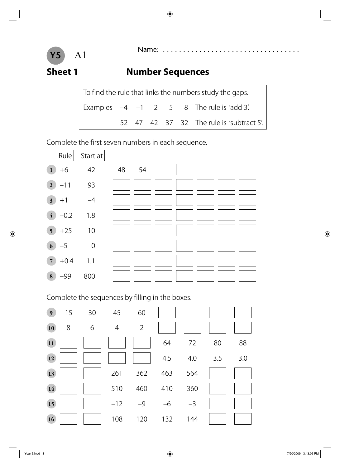

# Name: . . . . . . . . . . . . . . . . . . . . . . . . . . . . . . . . . . A1

### **Sheet 1** Number Sequences

| To find the rule that links the numbers study the gaps. |  |  |  |  |  |                                               |  |  |
|---------------------------------------------------------|--|--|--|--|--|-----------------------------------------------|--|--|
|                                                         |  |  |  |  |  | Examples $-4$ $-1$ 2 5 8 The rule is 'add 3'. |  |  |
|                                                         |  |  |  |  |  | 52 47 42 37 32 The rule is 'subtract 5'.      |  |  |

Complete the first seven numbers in each sequence.



Complete the sequences by filling in the boxes.

| 9 <sub>o</sub>  | 15 | 30 | 45    | 60             |      |      |     |     |
|-----------------|----|----|-------|----------------|------|------|-----|-----|
| <b>10</b>       | 8  | 6  | 4     | $\overline{2}$ |      |      |     |     |
| $\overline{11}$ |    |    |       |                | 64   | 72   | 80  | 88  |
| 12              |    |    |       |                | 4.5  | 4.0  | 3.5 | 3.0 |
| 13              |    |    | 261   | 362            | 463  | 564  |     |     |
| 14              |    |    | 510   | 460            | 410  | 360  |     |     |
| 15              |    |    | $-12$ | $-9$           | $-6$ | $-3$ |     |     |
| 16              |    |    | 108   | 120            | 132  | 144  |     |     |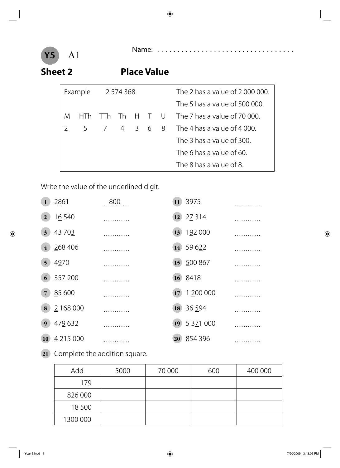

Name: . . . . . . . . . . . . . . . . . . . . . . . . . . . . . . . . . . A1

### **Sheet 2 Place Value**

|   | Example | 2 574 368 |          |         |  | The 2 has a value of 2000 000. |                               |
|---|---------|-----------|----------|---------|--|--------------------------------|-------------------------------|
|   |         |           |          |         |  |                                | The 5 has a value of 500 000. |
| M | HIh     | TTh.      | Th H T U |         |  |                                | The 7 has a value of 70 000.  |
|   |         | 5 7       |          | 4 3 6 8 |  |                                | The 4 has a value of 4 000.   |
|   |         |           |          |         |  |                                | The 3 has a value of 300.     |
|   |         |           |          |         |  |                                | The 6 has a value of 60.      |
|   |         |           |          |         |  |                                | The 8 has a value of 8.       |

Write the value of the underlined digit.

| $\mathbf{1}$     | 2861      | 0.800 | 11) | 3975          |  |
|------------------|-----------|-------|-----|---------------|--|
| $\boldsymbol{2}$ | 16 540    |       | 12  | 27 314        |  |
| $\boldsymbol{3}$ | 43 703    |       | 13  | 192 000       |  |
| $\overline{4}$   | 268 406   |       | 14  | 59 622        |  |
| $5\overline{)}$  | 4970      |       |     | 15 500 867    |  |
| 6                | 35Z 200   |       |     | 16 8418       |  |
| $\overline{7}$   | 85 600    |       | 17  | 1 200 000     |  |
| 8                | 2 168 000 |       | 18  | 36 594        |  |
| 9                | 479 632   |       | 19  | 5 3 7 1 0 0 0 |  |
| <b>10</b>        | 4 215 000 |       | 20  | 854 396       |  |

**21** Complete the addition square.

| Add      | 5000 | 70 000 | 600 | 400 000 |
|----------|------|--------|-----|---------|
| 179      |      |        |     |         |
| 826 000  |      |        |     |         |
| 18500    |      |        |     |         |
| 1300 000 |      |        |     |         |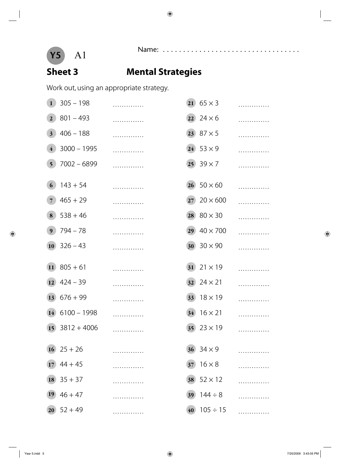

# Name: . . . . . . . . . . . . . . . . . . . . . . . . . . . . . . . . . . A1

### **Sheet 3 Mental Strategies**

Work out, using an appropriate strategy.

| $\mathbf{1}$    | $305 - 198$           | . |                 | 21 $65 \times 3$     | . |
|-----------------|-----------------------|---|-----------------|----------------------|---|
| 2 <sup>1</sup>  | $801 - 493$           | . |                 | $22 \ 24 \times 6$   | . |
| $3^{\circ}$     | $406 - 188$           | . |                 | $(23) 87 \times 5$   | . |
| $\overline{4}$  | $3000 - 1995$         | . |                 | $(24)$ 53 $\times$ 9 | . |
| 5 <sup>5</sup>  | $7002 - 6899$         | . |                 | $(25)$ 39 $\times$ 7 | . |
| 6               | $143 + 54$            | . |                 | $(26) 50 \times 60$  | . |
| $\overline{7}$  | $465 + 29$            | . | 27)             | $20 \times 600$      | . |
| 8               | $538 + 46$            | . | 28              | $80 \times 30$       | . |
| 9 <sup>°</sup>  | $794 - 78$            | . | 29 <sup>°</sup> | $40 \times 700$      | . |
| 10 <sup>1</sup> | $326 - 43$            | . |                 | 30 $30 \times 90$    | . |
| $\overline{11}$ | $805 + 61$            | . |                 | 31 $21 \times 19$    | . |
| 12)             | $424 - 39$            | . | 32              | $24 \times 21$       | . |
|                 |                       |   |                 |                      |   |
|                 | $13\ 676 + 99$        | . | 33)             | $18 \times 19$       | . |
|                 | $14$ 6100 - 1998      |   | 34              | $16 \times 21$       |   |
|                 | $15$ 3812 + 4006      |   |                 | 35 $23 \times 19$    |   |
|                 | $16$ 25 + 26          |   |                 | 36 $34 \times 9$     |   |
|                 | $(17)$ 44 + 45        |   | 37)             | $16 \times 8$        |   |
|                 | $18\overline{)}35+37$ |   | 38              | $52 \times 12$       |   |
| <b>19</b>       | $46 + 47$             |   | 39 <sup>°</sup> | $144 \div 8$         |   |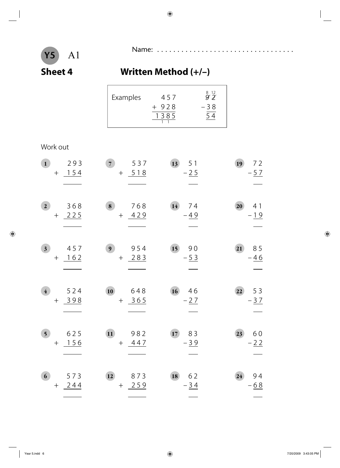

 $\Gamma$ 

# Name: . . . . . . . . . . . . . . . . . . . . . . . . . . . . . . . . . . A1

### **Sheet 4 Written Method (+/–)**

| Examples<br>457<br>$+928$<br>1385 | $\overset{8}{9} \overset{12}{2}$<br>$-38$ |
|-----------------------------------|-------------------------------------------|
|-----------------------------------|-------------------------------------------|

### Work out

| $\mathbf{1}$            | 293<br>$+$ 154    | $\overline{7}$<br>537<br>$+ 518$  | 13<br>51<br>$-25$ | 19<br>72<br>$-\frac{57}{2}$                |
|-------------------------|-------------------|-----------------------------------|-------------------|--------------------------------------------|
| 2 <sup>1</sup>          | 368<br>$+ 225$    | $\bf{8}$<br>768<br>$+ 429$        | 14<br>74<br>$-49$ | 20<br>41<br>$-\underline{19}$              |
| $\overline{\mathbf{3}}$ | 457<br>$+ 162$    | 9 <sup>1</sup><br>954<br>$+ 283$  | 15<br>90<br>$-53$ | 21<br>85<br>$-46$                          |
| $\overline{4}$          | 524<br>$+ 398$    | 10<br>648<br>$+ 365$              | 16746<br>$-27$    | $\overline{22}$<br>53<br>$-\underline{3}7$ |
| 5 <sup>5</sup>          | 625<br>$+$ 156    | $\overline{11}$<br>982<br>$+ 447$ | 17<br>83<br>$-39$ | 60<br>23<br>$-22$                          |
| 6 <sup>1</sup>          | 573<br>244<br>$+$ | 873<br>12<br>$+ 259$              | 18<br>62<br>$-34$ | 94<br>24<br>$-68$                          |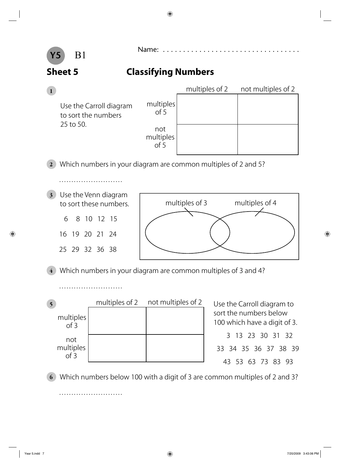

### Name: . . . . . . . . . . . . . . . . . . . . . . . . . . . . . . . . . . B1

### **Sheet 5 Classifying Numbers**

|              |                                                                |                                               | multiples of 2 | not multiples of 2 |
|--------------|----------------------------------------------------------------|-----------------------------------------------|----------------|--------------------|
| 25 to 50.    | Use the Carroll diagram<br>to sort the numbers                 | multiples<br>of 5<br>not<br>multiples<br>of 5 |                |                    |
| $\mathbf{2}$ | Which numbers in your diagram are common multiples of 2 and 5? |                                               |                |                    |
|              |                                                                |                                               |                |                    |

**3** Use the Venn diagram to sort these numbers.

> 6 8 10 12 15 16 19 20 21 24

> 25 29 32 36 38

. . . . . . . . . . . . . . . . . . . . . . . . . .



**4** Which numbers in your diagram are common multiples of 3 and 4?

|                          | multiples of 2 not multiples of 2 |
|--------------------------|-----------------------------------|
| multiples<br>of 3        |                                   |
| not<br>multiples<br>of 3 |                                   |

**5** Use the Carroll diagram to sort the numbers below 100 which have a digit of 3. 3 13 23 30 31 32 33 34 35 36 37 38 39

43 53 63 73 83 93

**6** Which numbers below 100 with a digit of 3 are common multiples of 2 and 3?

. . . . . . . . . . . . . . . . . . . . . . . . . .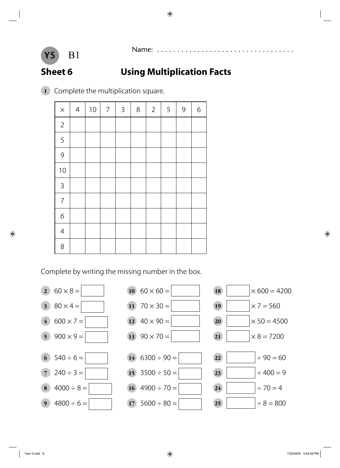# **Sheet 6 Using Multiplication Facts**

Complete the multiplication square.

| $\times$       | $\overline{4}$ | $10\,$ | $\overline{7}$ | $\mathbf{3}$ | $8\,$ | $\overline{2}$ | $\sqrt{5}$ | $\mathsf 9$ | $\sqrt{6}$ |
|----------------|----------------|--------|----------------|--------------|-------|----------------|------------|-------------|------------|
| $\overline{2}$ |                |        |                |              |       |                |            |             |            |
| 5              |                |        |                |              |       |                |            |             |            |
| 9              |                |        |                |              |       |                |            |             |            |
| $10$           |                |        |                |              |       |                |            |             |            |
| $\mathsf{3}$   |                |        |                |              |       |                |            |             |            |
| $\overline{7}$ |                |        |                |              |       |                |            |             |            |
| $\overline{6}$ |                |        |                |              |       |                |            |             |            |
| $\overline{4}$ |                |        |                |              |       |                |            |             |            |
| 8              |                |        |                |              |       |                |            |             |            |

Complete by writing the missing number in the box.

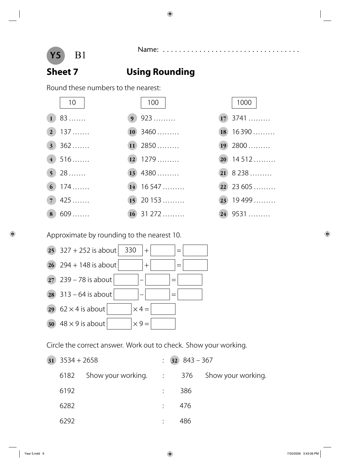

Name: .....................<br>B1

### **Sheet 7 Using Rounding**

Round these numbers to the nearest:





Approximate by rounding to the nearest 10.



Circle the correct answer. Work out to check. Show your working.

| $31 \quad 3534 + 2658$ |                                                             |  | $: 32 \, 843 - 367$ |  |
|------------------------|-------------------------------------------------------------|--|---------------------|--|
|                        | 6182 Show your working. $\therefore$ 376 Show your working. |  |                     |  |
| 6192                   |                                                             |  | 386                 |  |
| 6282                   |                                                             |  | $\frac{1}{2}$ 476   |  |
| 6292                   |                                                             |  | 486                 |  |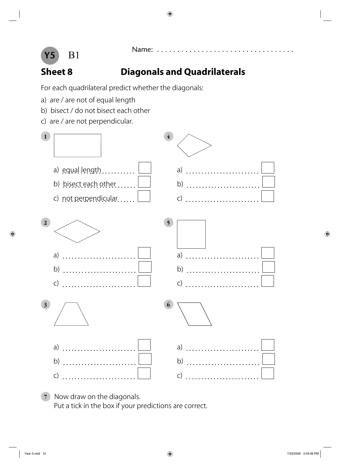

### Name: . . . . . . . . . . . . . . . . . . . . . . . . . . . . . . . . . . B1

### **Sheet 8 Diagonals and Quadrilaterals**

For each quadrilateral predict whether the diagonals:

- a) are / are not of equal length
- b) bisect / do not bisect each other
- c) are / are not perpendicular.



**7** Now draw on the diagonals. Put a tick in the box if your predictions are correct.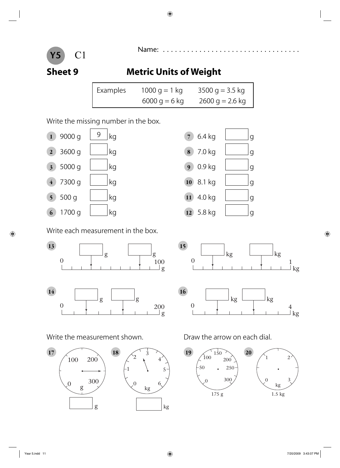

### **Sheet 9 Metric Units of Weight**

| Examples | 1000 g = 1 kg   | $3500$ g = 3.5 kg |
|----------|-----------------|-------------------|
|          | $6000$ g = 6 kg | $2600$ g = 2.6 kg |

### Write the missing number in the box.



Write each measurement in the box.

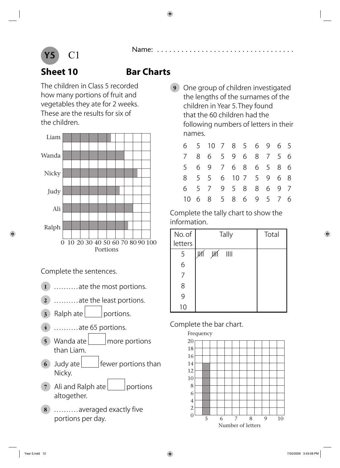

### **Sheet 10 Bar Charts**

The children in Class 5 recorded how many portions of fruit and vegetables they ate for 2 weeks. These are the results for six of the children.



Complete the sentences.

- **1** . . . . . . . . . . ate the most portions.
- **2** . . . . . . . . . . ate the least portions.
- **3** Ralph ate portions.
- **4** . . . . . . . . . . ate 65 portions.
- **5** Wanda ate more portions than Liam.
- **6** Judy ate **fewer** portions than Nicky.
- **7** Ali and Ralph ate portions altogether.
- **8** ........... averaged exactly five portions per day.

**9** One group of children investigated the lengths of the surnames of the children in Year 5. They found that the 60 children had the following numbers of letters in their names.

| რ.              |     | 5 10 7 8 5 6 9 6 5 |                 |    |               |                |           |     |  |
|-----------------|-----|--------------------|-----------------|----|---------------|----------------|-----------|-----|--|
| $7\overline{ }$ | 8.  | 6                  |                 | 59 |               |                | 6 8 7 5 6 |     |  |
| 5               | 6 - | 9                  | $7\overline{ }$ |    | 6 8           |                | 6 5 8 6   |     |  |
| 8.              | 5   | 5                  |                 |    | 6 10 7        | 5 <sup>7</sup> | 9         | 6 8 |  |
| 6.              | 5 7 |                    |                 |    | 9 5 8         | 8              | 6         | 97  |  |
| 1()             | 68  |                    |                 |    | 5 8 6 9 5 7 6 |                |           |     |  |

Complete the tally chart to show the information.

| No. of  | Tally              | Total |
|---------|--------------------|-------|
| letters |                    |       |
| 5       | JИÍ<br>$\parallel$ |       |
| 6       |                    |       |
|         |                    |       |
| 8       |                    |       |
| 9       |                    |       |
| 10      |                    |       |

### Complete the bar chart.

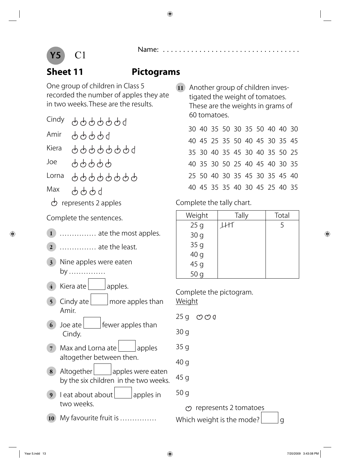

### **Sheet 11 Pictograms**

One group of children in Class 5 recorded the number of apples they ate in two weeks. These are the results.

- Cindy 9999999 99999 Amir 99999999 Kiera 99999 Joe 99999999 Lorna Max 6669
	- $\phi$  represents 2 apples

Complete the sentences.

- **1** . . . . . . . . . . . . . . . ate the most apples.
- **2** . . . . . . . . . . . . . . . ate the least.
- **3** Nine apples were eaten by . . . . . . . . . . . . . . .
- 4 Kiera ate | apples.
- **5** Cindy ate more apples than Amir.
- **6** Joe ate fewer apples than Cindy.
- **7** Max and Lorna ate apples altogether between then.
- **8** Altogether apples were eaten by the six children in the two weeks.
- **9** Leat about about apples in two weeks.
- **10** My favourite fruit is ................
- **11** Another group of children investigated the weight of tomatoes. These are the weights in grams of 60 tomatoes.
	- 30 40 35 50 30 35 50 40 40 30 40 45 25 35 50 40 45 30 35 45 35 30 40 35 45 30 40 35 50 25 40 35 30 50 25 40 45 40 30 35 25 50 40 30 35 45 30 35 45 40 40 45 35 35 40 30 45 25 40 35

Complete the tally chart.

| Weight          | Tally | Total |
|-----------------|-------|-------|
| 25 <sub>g</sub> |       | 5     |
| 30 <sub>g</sub> |       |       |
| 35g             |       |       |
| 40 g            |       |       |
| 45 <sub>g</sub> |       |       |
| 50<br>$\alpha$  |       |       |

Complete the pictogram. Weight

- $25 g$   $\circledcirc \circledcirc g$
- 30 g
- 35 g
- 40 g
- 45 g
- 50 g

 $\infty$  represents 2 tomatoes

Which weight is the mode?  $|q|$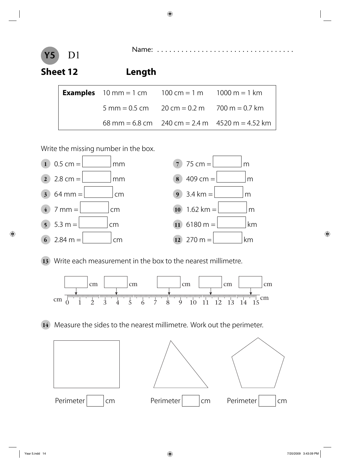

| <b>Examples</b> $10 \text{ mm} = 1 \text{ cm}$ $100 \text{ cm} = 1 \text{ m}$ $1000 \text{ m} = 1 \text{ km}$ |                                                                  |
|---------------------------------------------------------------------------------------------------------------|------------------------------------------------------------------|
| $5 \text{ mm} = 0.5 \text{ cm}$ $20 \text{ cm} = 0.2 \text{ m}$ $700 \text{ m} = 0.7 \text{ km}$              |                                                                  |
|                                                                                                               | $68 \text{ mm} = 6.8 \text{ cm}$ 240 cm = 2.4 m 4520 m = 4.52 km |

Write the missing number in the box.



**13** Write each measurement in the box to the nearest millimetre.



**14** Measure the sides to the nearest millimetre. Work out the perimeter.

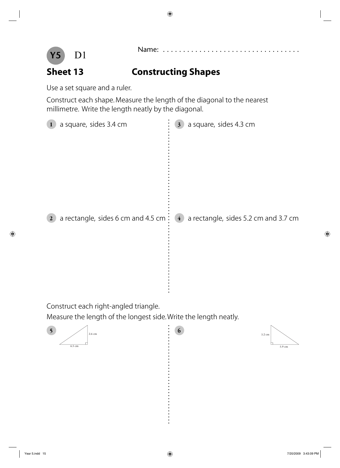

5.9 cm

3.2 cm



### **Sheet 13 Constructing Shapes**

Use a set square and a ruler.

Construct each shape. Measure the length of the diagonal to the nearest millimetre. Write the length neatly by the diagonal.

| a square, sides 3.4 cm                      | a square, sides 4.3 cm               |
|---------------------------------------------|--------------------------------------|
| $\mathbf{1}$                                | 3 <sup>1</sup>                       |
| a rectangle, sides 6 cm and 4.5 cm $\vdots$ | a rectangle, sides 5.2 cm and 3.7 cm |
| $\boldsymbol{2}$                            | $\frac{4}{1}$                        |

Construct each right-angled triangle.

Measure the length of the longest side. Write the length neatly.

 $\ddot{\cdot}$ 

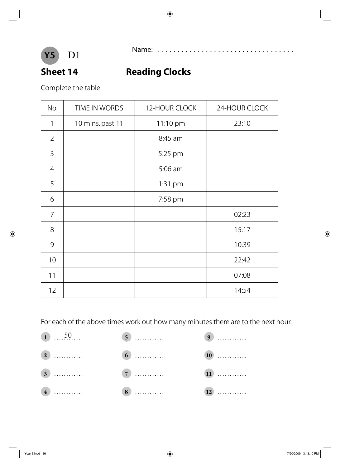

Name: . . . . . . . . . . . . . . . . . . . . . . . . . . . . . . . . . . D1

### **Sheet 14 Reading Clocks**

Complete the table.

| No.            | TIME IN WORDS    | 12-HOUR CLOCK |       |
|----------------|------------------|---------------|-------|
| 1              | 10 mins. past 11 | 11:10 pm      | 23:10 |
| $\overline{2}$ |                  | 8:45 am       |       |
| 3              |                  | 5:25 pm       |       |
| $\overline{4}$ |                  | 5:06 am       |       |
| 5              |                  | 1:31 pm       |       |
| 6              |                  | 7:58 pm       |       |
| $\overline{7}$ |                  |               | 02:23 |
| 8              |                  |               | 15:17 |
| 9              |                  |               | 10:39 |
| 10             |                  |               | 22:42 |
| 11             |                  |               | 07:08 |
| 12             |                  |               | 14:54 |

For each of the above times work out how many minutes there are to the next hour.

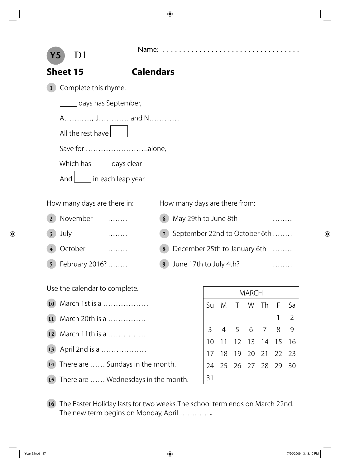Name: . . . . . . . . . . . . . . . . . . . . . . . . . . . . . . . . . . D1



### **Sheet 15 Calendars**

**1** Complete this rhyme.

days has September,

A…………, J…………… and N…………

All the rest have

Save for …………………….alone,

Which has  $\Box$  days clear

And  $\vert$  in each leap year.

- 
- 
- 
- 

How many days are there in: How many days are there from:

- **2** November ........ **6** May 29th to June 8th ........ **3** July ......... **7** September 22nd to October 6th ........ **4** October ........ **4** October **19. ........ 18** December 25th to January 6th ........
- **5** February 2016? . . . . . . . 9 June 17th to July 4th? . . . . . . . . . . . .

Use the calendar to complete.

- **10** March 1st is a ………………
- **11** March 20th is a ……………
- **12** March 11th is a ……………
- **13** April 2nd is a ………………
- **14** There are …… Sundays in the month.

**15** There are …… Wednesdays in the month.

- MARCH Su M T W Th F Sa 1 2 3456789 10 11 12 13 14 15 16 17 18 19 20 21 22 23 24 25 26 27 28 29 30 31
- **16** The Easter Holiday lasts for two weeks. The school term ends on March 22nd. The new term begins on Monday, April .............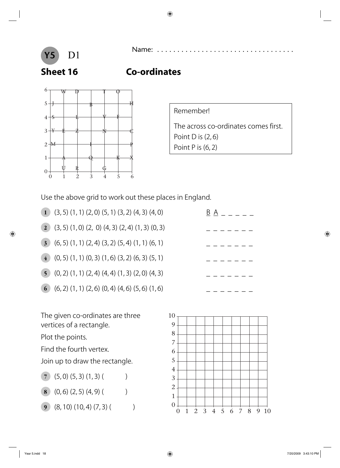

Name: . . . . . . . . . . . . . . . . . . . . . . . . . . . . . . . . . . D1

### **Sheet 16 Co-ordinates**



Remember!

The across co-ordinates comes first. Point D is  $(2, 6)$ Point P is (6, 2)

Use the above grid to work out these places in England.

- **1** (3, 5) (1, 1) (2, 0) (5, 1) (3, 2) (4, 3) (4, 0)  $\underline{B} A = \underline{C} = \underline{D}$ **2** (3, 5)  $(1, 0)$   $(2, 0)$   $(4, 3)$   $(2, 4)$   $(1, 3)$   $(0, 3)$ **3** (6, 5)  $(1, 1)$   $(2, 4)$   $(3, 2)$   $(5, 4)$   $(1, 1)$   $(6, 1)$ **4**  $(0, 5)$   $(1, 1)$   $(0, 3)$   $(1, 6)$   $(3, 2)$   $(6, 3)$   $(5, 1)$
- **5**  $(0, 2) (1, 1) (2, 4) (4, 4) (1, 3) (2, 0) (4, 3)$
- **6** (6, 2)  $(1, 1)$   $(2, 6)$   $(0, 4)$   $(4, 6)$   $(5, 6)$   $(1, 6)$

The given co-ordinates are three vertices of a rectangle.

Plot the points.

Find the fourth vertex.

Join up to draw the rectangle.

- $(7)$   $(5, 0)$   $(5, 3)$   $(1, 3)$   $($
- **8** (0, 6) (2, 5) (4, 9) (
- **9** (8, 10) (10, 4) (7, 3) (



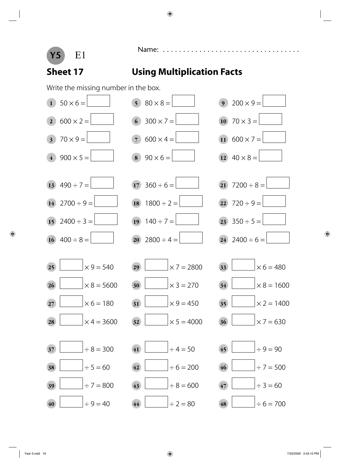

Name: . . . . . . . . . . . . . . . . . . . . . . . . . . . . . . . . . . E1

### **Sheet 17 Using Multiplication Facts**

Write the missing number in the box.

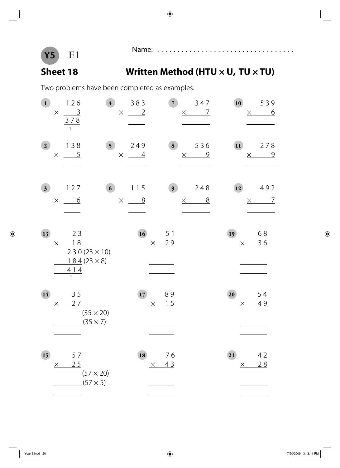

# Name: . . . . . . . . . . . . . . . . . . . . . . . . . . . . . . . . . . E1

### Sheet 18 Written Method (HTU × U, TU × TU)

Two problems have been completed as examples.

| $\mathbf{1}$   | 126                                              |                                                 | $\overline{4}$                       | 383                   | 7)                    | 347                               | 10              | 539                               |
|----------------|--------------------------------------------------|-------------------------------------------------|--------------------------------------|-----------------------|-----------------------|-----------------------------------|-----------------|-----------------------------------|
|                | $\frac{3}{2}$<br>$\times$<br>378<br>$\mathbf{1}$ |                                                 | $\times$                             | $\frac{2}{2}$         |                       | $\overline{L}$<br>$\times$        |                 | <u>6</u><br>$\times$              |
| $\mathbf{2}$   | 138<br>$\times$                                  | $\overline{5}$                                  | $\overline{\phantom{0}}$<br>$\times$ | 249<br>$\overline{4}$ | 8                     | 536<br>$\overline{Q}$<br>$\times$ | $\overline{11}$ | 278<br>$\overline{9}$<br>$\times$ |
| 3 <sup>1</sup> | 127<br>$\times$                                  | <u>6</u>                                        | 6 <sup>1</sup><br>$\times$           | 115<br>8              | 9 <sub>1</sub>        | 248<br>8<br>$\times$              | 12              | 492<br>$\overline{7}$<br>$\times$ |
| 13             | 18<br>$\times$<br>414<br>$\overline{1}$          | 23<br>$230(23 \times 10)$<br>$184(23 \times 8)$ |                                      | 16                    | 5 1<br>29<br>$\times$ |                                   | 19<br>$\times$  | 68<br>36                          |
| 14             | 35<br>$\times$                                   | 27<br>$(35 \times 20)$<br>$(35 \times 7)$       |                                      | 17                    | 89<br>15<br>$\times$  |                                   | 20<br>$\times$  | 54<br>49                          |
| 15             | $\times$                                         | 57<br>25<br>$(57 \times 20)$<br>$(57 \times 5)$ |                                      | 18                    | 76<br>43<br>$\times$  |                                   | 21<br>$\times$  | 42<br>28                          |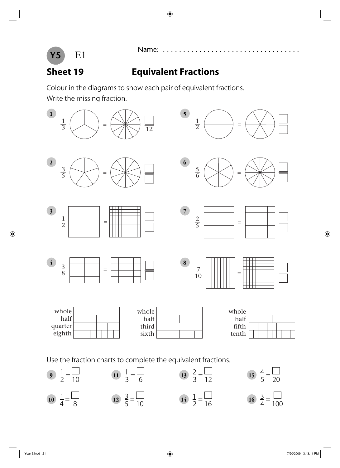

### **Sheet 19 Equivalent Fractions**

Colour in the diagrams to show each pair of equivalent fractions. Write the missing fraction.



Use the fraction charts to complete the equivalent fractions.

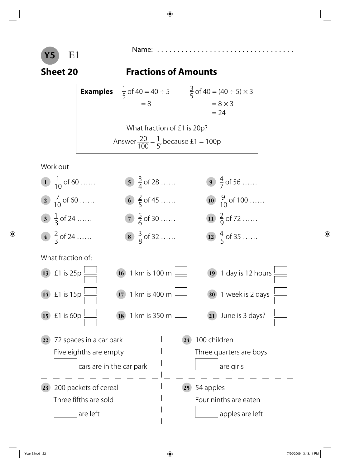

# Name: . . . . . . . . . . . . . . . . . . . . . . . . . . . . . . . . . . E1

### **Sheet 20 Fractions of Amounts**

**Examples** 5 of 40 = 40 ÷ 5  $\frac{3}{5}$ 5 of 40 =  $(40 \div 5) \times 3$  $= 8$   $= 8 \times 3$  $= 24$ What fraction of £1 is 20p? Answer  $\frac{20}{100} = \frac{1}{5}$ 5 , because  $£1 = 100p$ 

Work out

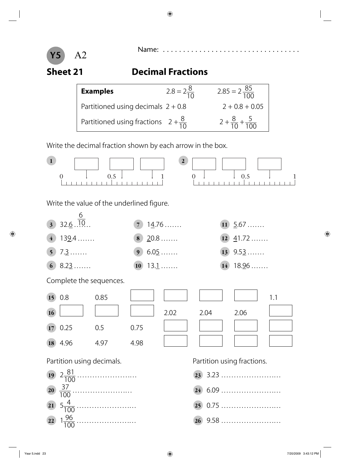

# **Sheet 21 Decimal Fractions**

| <b>Examples</b>                                | $2.8 = 2\frac{8}{10}$ | $2.85 = 2\frac{85}{100}$           |
|------------------------------------------------|-----------------------|------------------------------------|
| Partitioned using decimals $2 + 0.8$           |                       | $2 + 0.8 + 0.05$                   |
| Partitioned using fractions $2 + \frac{8}{10}$ |                       | $2 + \frac{8}{10} + \frac{5}{100}$ |

Write the decimal fraction shown by each arrow in the box.



**<sup>22</sup>** 1 96 100 …………………. . . **26** 9.58 …………………. . .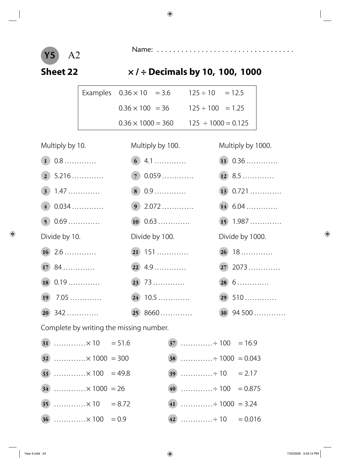

### **Sheet 22 × / ÷ Decimals by 10, 100, 1000**

|  | Examples $0.36 \times 10 = 3.6$ | $125 \div 10 = 12.5$    |  |
|--|---------------------------------|-------------------------|--|
|  | $0.36 \times 100 = 36$          | $125 \div 100 = 1.25$   |  |
|  | $0.36 \times 1000 = 360$        | $125 \div 1000 = 0.125$ |  |

| Multiply by 10.                                                                                                                                                                                                                   | Multiply by 100.   | Multiply by 1000.  |
|-----------------------------------------------------------------------------------------------------------------------------------------------------------------------------------------------------------------------------------|--------------------|--------------------|
| $1\,0.8\ldots$                                                                                                                                                                                                                    |                    | $(11) 0.36 \ldots$ |
| $\boxed{2}$ 5.216                                                                                                                                                                                                                 | 70.059             |                    |
| $3) 1.47 \dots$                                                                                                                                                                                                                   | $\bullet$ 0.9      | $13$ 0.721         |
| $(4)$ 0.034                                                                                                                                                                                                                       | $9$ 2.072          | $14$ 6.04          |
| 50.69                                                                                                                                                                                                                             | $(10) 0.63 \ldots$ | $(15)$ 1.987       |
| Divide by 10.                                                                                                                                                                                                                     | Divide by 100.     | Divide by 1000.    |
|                                                                                                                                                                                                                                   | $(21)$ 151         | 26 18              |
| $1784$                                                                                                                                                                                                                            |                    | $(27)$ 2073        |
| $(18) 0.19 \dots \dots \dots$                                                                                                                                                                                                     | $(23)$ 73          | $(28)$ 6           |
|                                                                                                                                                                                                                                   |                    | $(29)$ 510         |
| $20\,342\ldots$                                                                                                                                                                                                                   | $(25)$ 8660        | $30$ 94 500        |
| $\sigma$ and the set of the set of the set of the set of the set of the set of the set of the set of the set of the set of the set of the set of the set of the set of the set of the set of the set of the set of the set of the |                    |                    |

Complete by writing the missing number.

| $(31)$ × 10 = 51.6     |  |                       |  |
|------------------------|--|-----------------------|--|
| $(32)$ × 1000 = 300    |  | $(38)$ + 1000 = 0.043 |  |
| 33 $\times 100 = 49.8$ |  |                       |  |
| $34$ × 1000 = 26       |  | 40 ÷ 100 = 0.875      |  |
| $(35)$ × 10 = 8.72     |  | 41 ÷ 1000 = 3.24      |  |
| $(36)$ × 100 = 0.9     |  | 42 ÷ 10 = 0.016       |  |

| $\overline{37}$ + 100 = 16.9 |  |
|------------------------------|--|
|                              |  |
|                              |  |
|                              |  |
| 41 ÷ 1000 = 3.24             |  |
| 42 ÷ 10 = 0.016              |  |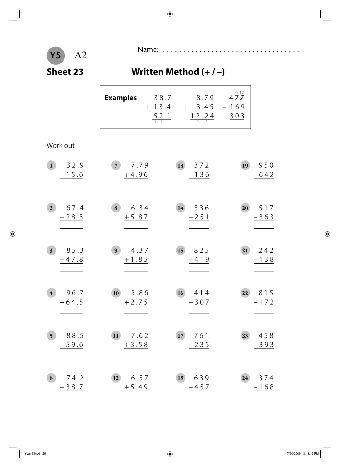# Name: . . . . . . . . . . . . . . . . . . . . . . . . . . . . . . . . . . A2

### **Sheet 23 Written Method (+ / –)**

| 472<br>8.79<br>38.7<br><b>Examples</b><br>$+ 13.4$<br>$-169$<br>3.45<br>52.1<br>12.24<br>0 <sub>3</sub> |
|---------------------------------------------------------------------------------------------------------|
|---------------------------------------------------------------------------------------------------------|

### Work out

| 32.9                              | 7.79                  | 13                  | 19                    |
|-----------------------------------|-----------------------|---------------------|-----------------------|
| 1                                 | 7 <sup>7</sup>        | 372                 | 950                   |
| $+15.6$                           | $+4.96$               | $-136$              | $-642$                |
| 67.4<br>2 <sup>1</sup><br>$+28.3$ | 6.34<br>8<br>$+5.87$  | 147536<br>$-251$    | 20<br>517<br>$-363$   |
| 85.3                              | 4.37                  | 15                  | $\overline{21}$       |
| 3 <sup>1</sup>                    | 9 <sup>1</sup>        | 825                 | 242                   |
| $+47.8$                           | $+1.85$               | $-419$              | $-138$                |
| 96.7<br>$\overline{4}$<br>$+64.5$ | 10<br>5.86<br>$+2.75$ | $16$ 414<br>$-307$  | 815<br> 22 <br>$-172$ |
| 5 <sup>5</sup><br>88.5<br>$+59.6$ | $11$ 7.62<br>$+3.58$  | 17<br>761<br>$-235$ | 458<br>23<br>$-393$   |
| 74.2                              | 6.57                  | 639                 | 374                   |
| 6                                 | 12                    | 18                  | 24                    |
| $+38.7$                           | $+5.49$               | $-457$              | $-168$                |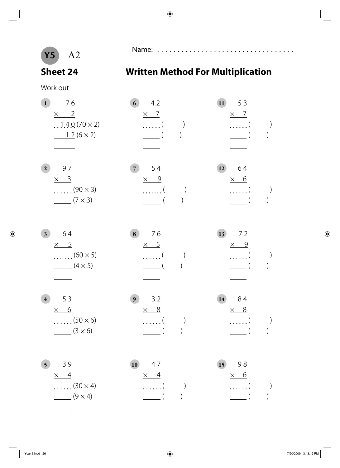**Sheet 24 Written Method For Multiplication**

Name: . . . . . . . . . . . . . . . . . . . . . . . . . . . . . . . . . . A2

Work out

# **1** 7 6 **6** 4 2 **11** 5 3  $\times$  2  $\times$  7  $\times$  7 1 4 0 (70 × 2) ( ) ( )  $12 (6 \times 2)$  ( ) ( ) **2** 9 7 **7** 5 4 **12** 6 4  $\times$  3  $\times$  9  $\times$  6  $\dots(90 \times 3)$   $\dots($  )  $\dots($  $(7 \times 3)$  ( ) ( ) **3** 6 4 **8** 7 6 **13** 7 2  $\times$  5  $\times$  5  $\times$  9  $\dots(60 \times 5)$   $\dots($  )  $\dots($  $(4 \times 5)$  (4) **4** 5 3 **9** 3 2 **14** 8 4  $\times$  6  $\times$  8  $\times$  8  $\dots(50 \times 6)$   $\dots( )$  )  $\dots( )$  $(3 \times 6)$  ( )  $( )$ **5** 3 9 **10** 4 7 **15** 9 8  $\times$  4  $\times$  4  $\times$  6  $\dots(30 \times 4)$   $\dots( )$  )  $\dots( )$  $(9 \times 4)$  ( )  $( )$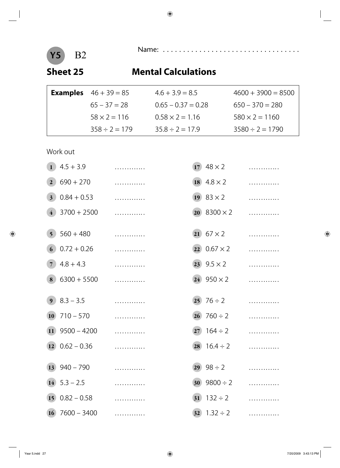Name: . . . . . . . . . . . . . . . . . . . . . . . . . . . . . . . . . . B2

### **Sheet 25 Mental Calculations**

| <b>Examples</b> $46 + 39 = 85$ | $4.6 + 3.9 = 8.5$      | $4600 + 3900 = 8500$  |
|--------------------------------|------------------------|-----------------------|
| $65 - 37 = 28$                 | $0.65 - 0.37 = 0.28$   | $650 - 370 = 280$     |
| $58 \times 2 = 116$            | $0.58 \times 2 = 1.16$ | $580 \times 2 = 1160$ |
| $358 \div 2 = 179$             | $35.8 \div 2 = 17.9$   | $3580 \div 2 = 1790$  |

### Work out

| $\mathbf{1}$            | $4.5 + 3.9$        | . |                 | 17 $48 \times 2$          | . |
|-------------------------|--------------------|---|-----------------|---------------------------|---|
| $\overline{2}$          | $690 + 270$        | . |                 | 18 $4.8 \times 2$         | . |
| 3 <sup>1</sup>          | $0.84 + 0.53$      | . |                 | 19 $83 \times 2$          | . |
| $\overline{4}$          | $3700 + 2500$      | . |                 | <b>20</b> 8300 $\times$ 2 | . |
| $\overline{\mathbf{5}}$ | $560 + 480$        | . |                 | $(21)$ 67 $\times$ 2      | . |
| $\vert 6 \vert$         | $0.72 + 0.26$      | . |                 | $(22) 0.67 \times 2$      | . |
| $\overline{7}$          | $4.8 + 4.3$        | . |                 | $(23)$ 9.5 $\times$ 2     | . |
| 8                       | $6300 + 5500$      | . |                 | $(24)$ 950 $\times$ 2     | . |
|                         |                    |   |                 |                           |   |
| $\boldsymbol{9}$        | $8.3 - 3.5$        | . |                 | $(25)$ 76 ÷ 2             | . |
| <b>10</b>               | $710 - 570$        | . |                 | $(26)$ 760 ÷ 2            | . |
| $\left(11\right)$       | $9500 - 4200$      | . | 27)             | $164 \div 2$              | . |
|                         | $(12)$ 0.62 - 0.36 | . |                 | $28 \quad 16.4 \div 2$    | . |
| 13)                     | $940 - 790$        | . |                 | $(29)$ 98 ÷ 2             | . |
|                         | $14$ 5.3 – 2.5     | . | 30 <sup>°</sup> | $9800 \div 2$             | . |
| 15 <sup>2</sup>         | $0.82 - 0.58$      | . | 31)             | $132 \div 2$              | . |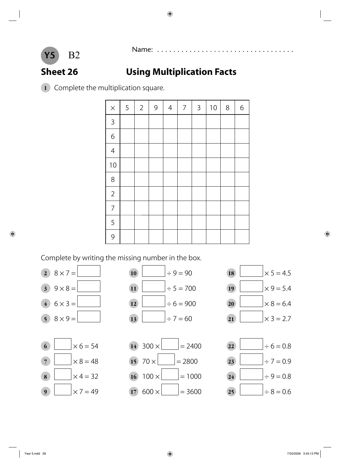

### **Sheet 26 Using Multiplication Facts**

Complete the multiplication square.



Complete by writing the missing number in the box.











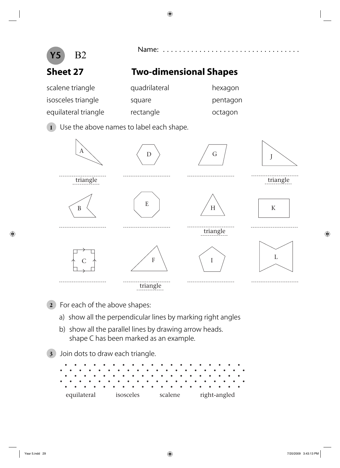

- b) show all the parallel lines by drawing arrow heads. shape C has been marked as an example.
- **3** Join dots to draw each triangle.

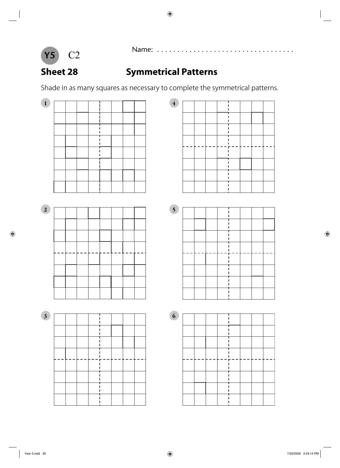

# Name: . . . . . . . . . . . . . . . . . . . . . . . . . . . . . . . . . . C2

### **Sheet 28 Symmetrical Patterns**

Shade in as many squares as necessary to complete the symmetrical patterns.

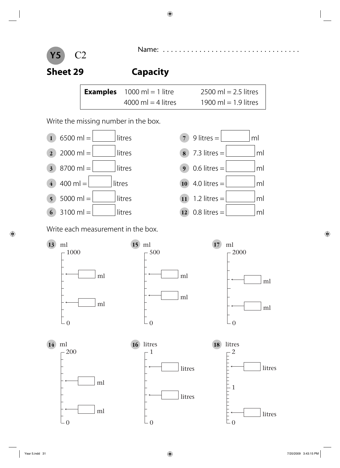



**Sheet 29 Capacity**

| <b>Examples</b> $1000 \text{ ml} = 1$ litre | $2500$ ml = 2.5 litres |
|---------------------------------------------|------------------------|
| 4000 ml $=$ 4 litres                        | 1900 ml = 1.9 litres   |

Write the missing number in the box.



Write each measurement in the box.